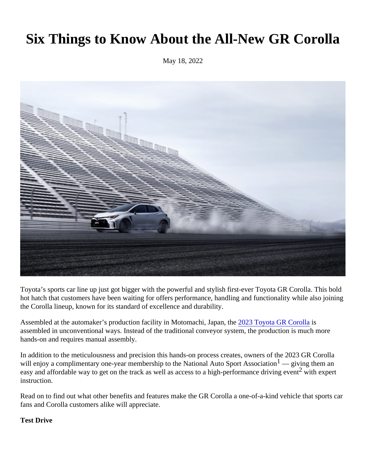# Six Things to Know About the All-New GR Corolla

May 18, 2022

Toyota's sports car line up just got bigger with the powerful and stylish first-ever Toyota GR Corolla. This bold hot hatch that customers have been waiting for offers performance, handling and functionality while also joinin the Corolla lineup, known for its standard of excellence and durability.

Assembled at the automaker's production facility in Motomachi, Japa<sup>n</sup>, Toyota GR Corollas assembled in unconventional ways. Instead of the traditional conveyor system, the production is much more hands-on and requires manual assembly.

In addition to the meticulousness and precision this hands-on process creates, owners of the 2023 GR Coroll will enjoy a complimentary one-year membership to the National Auto Sport Assochatigiving them an easy and affordable way to get on the track as well as access to a high-performance driving the explert instruction.

Read on to find out what other benefits and features make the GR Corolla a one-of-a-kind vehicle that sports car fans and Corolla customers alike will appreciate.

Test Drive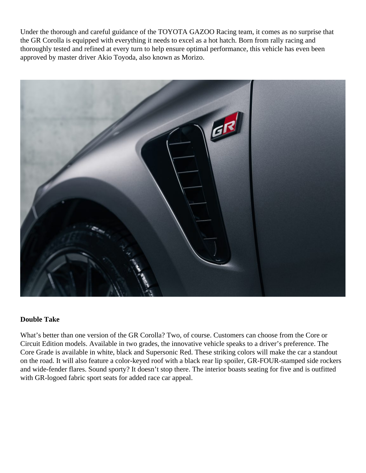Under the thorough and careful guidance of the TOYOTA GAZOO Racing team, it comes as no surprise that the GR Corolla is equipped with everything it needs to excel as a hot hatch. Born from rally racing and thoroughly tested and refined at every turn to help ensure optimal performance, this vehicle has even been approved by master driver Akio Toyoda, also known as Morizo.



## **Double Take**

What's better than one version of the GR Corolla? Two, of course. Customers can choose from the Core or Circuit Edition models. Available in two grades, the innovative vehicle speaks to a driver's preference. The Core Grade is available in white, black and Supersonic Red. These striking colors will make the car a standout on the road. It will also feature a color-keyed roof with a black rear lip spoiler, GR-FOUR-stamped side rockers and wide-fender flares. Sound sporty? It doesn't stop there. The interior boasts seating for five and is outfitted with GR-logoed fabric sport seats for added race car appeal.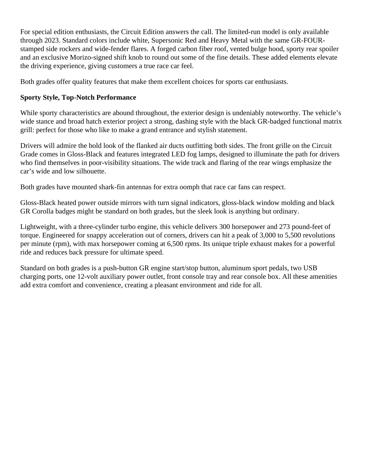For special edition enthusiasts, the Circuit Edition answers the call. The limited-run model is only available through 2023. Standard colors include white, Supersonic Red and Heavy Metal with the same GR-FOURstamped side rockers and wide-fender flares. A forged carbon fiber roof, vented bulge hood, sporty rear spoiler and an exclusive Morizo-signed shift knob to round out some of the fine details. These added elements elevate the driving experience, giving customers a true race car feel.

Both grades offer quality features that make them excellent choices for sports car enthusiasts.

# **Sporty Style, Top-Notch Performance**

While sporty characteristics are abound throughout, the exterior design is undeniably noteworthy. The vehicle's wide stance and broad hatch exterior project a strong, dashing style with the black GR-badged functional matrix grill: perfect for those who like to make a grand entrance and stylish statement.

Drivers will admire the bold look of the flanked air ducts outfitting both sides. The front grille on the Circuit Grade comes in Gloss-Black and features integrated LED fog lamps, designed to illuminate the path for drivers who find themselves in poor-visibility situations. The wide track and flaring of the rear wings emphasize the car's wide and low silhouette.

Both grades have mounted shark-fin antennas for extra oomph that race car fans can respect.

Gloss-Black heated power outside mirrors with turn signal indicators, gloss-black window molding and black GR Corolla badges might be standard on both grades, but the sleek look is anything but ordinary.

Lightweight, with a three-cylinder turbo engine, this vehicle delivers 300 horsepower and 273 pound-feet of torque. Engineered for snappy acceleration out of corners, drivers can hit a peak of 3,000 to 5,500 revolutions per minute (rpm), with max horsepower coming at 6,500 rpms. Its unique triple exhaust makes for a powerful ride and reduces back pressure for ultimate speed.

Standard on both grades is a push-button GR engine start/stop button, aluminum sport pedals, two USB charging ports, one 12-volt auxiliary power outlet, front console tray and rear console box. All these amenities add extra comfort and convenience, creating a pleasant environment and ride for all.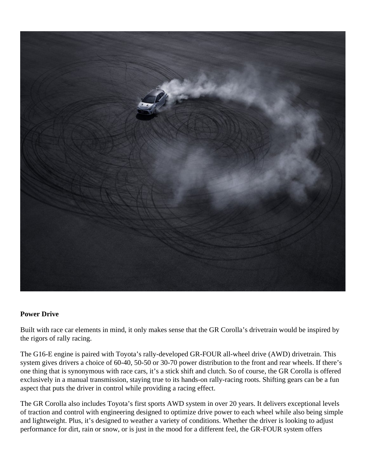

#### **Power Drive**

Built with race car elements in mind, it only makes sense that the GR Corolla's drivetrain would be inspired by the rigors of rally racing.

The G16-E engine is paired with Toyota's rally-developed GR-FOUR all-wheel drive (AWD) drivetrain. This system gives drivers a choice of 60-40, 50-50 or 30-70 power distribution to the front and rear wheels. If there's one thing that is synonymous with race cars, it's a stick shift and clutch. So of course, the GR Corolla is offered exclusively in a manual transmission, staying true to its hands-on rally-racing roots. Shifting gears can be a fun aspect that puts the driver in control while providing a racing effect.

The GR Corolla also includes Toyota's first sports AWD system in over 20 years. It delivers exceptional levels of traction and control with engineering designed to optimize drive power to each wheel while also being simple and lightweight. Plus, it's designed to weather a variety of conditions. Whether the driver is looking to adjust performance for dirt, rain or snow, or is just in the mood for a different feel, the GR-FOUR system offers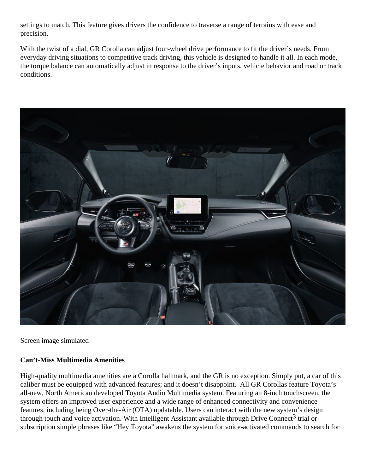settings to match. This feature gives drivers the confidence to traverse a range of terrains with ease and precision.

With the twist of a dial, GR Corolla can adjust four-wheel drive performance to fit the driver's needs. From everyday driving situations to competitive track driving, this vehicle is designed to handle it all. In each mode, the torque balance can automatically adjust in response to the driver's inputs, vehicle behavior and road or track conditions.



Screen image simulated

# **Can't-Miss Multimedia Amenities**

High-quality multimedia amenities are a Corolla hallmark, and the GR is no exception. Simply put, a car of this caliber must be equipped with advanced features; and it doesn't disappoint. All GR Corollas feature Toyota's all-new, North American developed Toyota Audio Multimedia system. Featuring an 8-inch touchscreen, the system offers an improved user experience and a wide range of enhanced connectivity and convenience features, including being Over-the-Air (OTA) updatable. Users can interact with the new system's design through touch and voice activation. With Intelligent Assistant available through Drive Connect<sup>3</sup> trial or subscription simple phrases like "Hey Toyota" awakens the system for voice-activated commands to search for